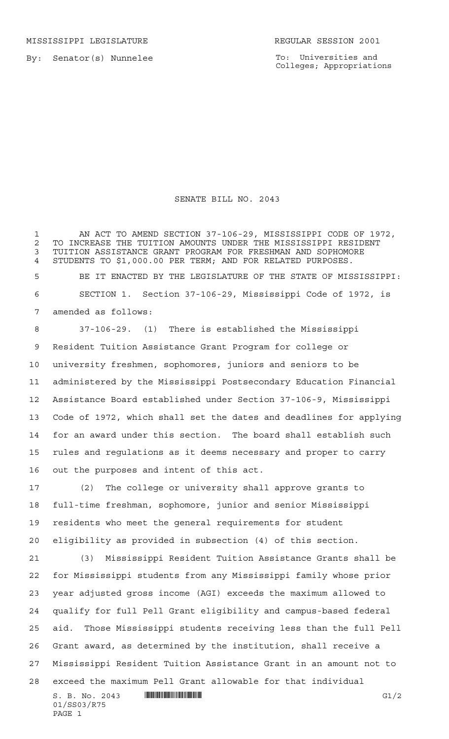MISSISSIPPI LEGISLATURE **REGULAR SESSION 2001** 

By: Senator(s) Nunnelee

To: Universities and Colleges; Appropriations

## SENATE BILL NO. 2043

1 AN ACT TO AMEND SECTION 37-106-29, MISSISSIPPI CODE OF 1972, 2 TO INCREASE THE TUITION AMOUNTS UNDER THE MISSISSIPPI RESIDENT<br>3 TUITION ASSISTANCE GRANT PROGRAM FOR FRESHMAN AND SOPHOMORE TUITION ASSISTANCE GRANT PROGRAM FOR FRESHMAN AND SOPHOMORE STUDENTS TO \$1,000.00 PER TERM; AND FOR RELATED PURPOSES.

 BE IT ENACTED BY THE LEGISLATURE OF THE STATE OF MISSISSIPPI: SECTION 1. Section 37-106-29, Mississippi Code of 1972, is amended as follows:

 37-106-29. (1) There is established the Mississippi Resident Tuition Assistance Grant Program for college or university freshmen, sophomores, juniors and seniors to be administered by the Mississippi Postsecondary Education Financial Assistance Board established under Section 37-106-9, Mississippi Code of 1972, which shall set the dates and deadlines for applying for an award under this section. The board shall establish such rules and regulations as it deems necessary and proper to carry out the purposes and intent of this act.

 (2) The college or university shall approve grants to full-time freshman, sophomore, junior and senior Mississippi residents who meet the general requirements for student eligibility as provided in subsection (4) of this section.

 $S. B. No. 2043$  .  $\blacksquare$   $\blacksquare$   $\blacksquare$   $\blacksquare$   $\blacksquare$   $\blacksquare$   $\blacksquare$   $\blacksquare$   $\blacksquare$   $\blacksquare$   $\blacksquare$   $\blacksquare$   $\blacksquare$   $\blacksquare$   $\blacksquare$   $\blacksquare$   $\blacksquare$   $\blacksquare$   $\blacksquare$   $\blacksquare$   $\blacksquare$   $\blacksquare$   $\blacksquare$   $\blacksquare$   $\blacksquare$   $\blacksquare$   $\blacksquare$   $\blacksquare$   $\blacksquare$   $\$  (3) Mississippi Resident Tuition Assistance Grants shall be for Mississippi students from any Mississippi family whose prior year adjusted gross income (AGI) exceeds the maximum allowed to qualify for full Pell Grant eligibility and campus-based federal aid. Those Mississippi students receiving less than the full Pell Grant award, as determined by the institution, shall receive a Mississippi Resident Tuition Assistance Grant in an amount not to exceed the maximum Pell Grant allowable for that individual

01/SS03/R75 PAGE 1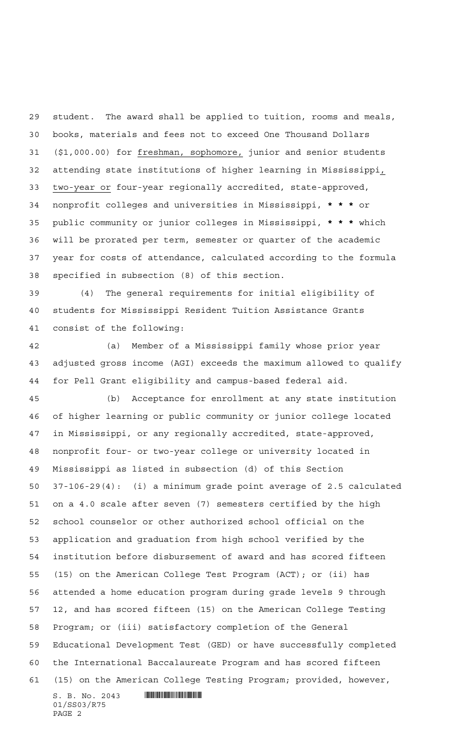student. The award shall be applied to tuition, rooms and meals, books, materials and fees not to exceed One Thousand Dollars (\$1,000.00) for freshman, sophomore, junior and senior students attending state institutions of higher learning in Mississippi, two-year or four-year regionally accredited, state-approved, nonprofit colleges and universities in Mississippi, **\*\*\*** or public community or junior colleges in Mississippi, **\*\*\*** which will be prorated per term, semester or quarter of the academic year for costs of attendance, calculated according to the formula specified in subsection (8) of this section.

 (4) The general requirements for initial eligibility of students for Mississippi Resident Tuition Assistance Grants consist of the following:

 (a) Member of a Mississippi family whose prior year adjusted gross income (AGI) exceeds the maximum allowed to qualify for Pell Grant eligibility and campus-based federal aid.

 $S. B. No. 2043$  . The set of  $S. B. NO. 2043$  (b) Acceptance for enrollment at any state institution of higher learning or public community or junior college located in Mississippi, or any regionally accredited, state-approved, nonprofit four- or two-year college or university located in Mississippi as listed in subsection (d) of this Section 37-106-29(4): (i) a minimum grade point average of 2.5 calculated on a 4.0 scale after seven (7) semesters certified by the high school counselor or other authorized school official on the application and graduation from high school verified by the institution before disbursement of award and has scored fifteen (15) on the American College Test Program (ACT); or (ii) has attended a home education program during grade levels 9 through 12, and has scored fifteen (15) on the American College Testing Program; or (iii) satisfactory completion of the General Educational Development Test (GED) or have successfully completed the International Baccalaureate Program and has scored fifteen (15) on the American College Testing Program; provided, however,

01/SS03/R75 PAGE 2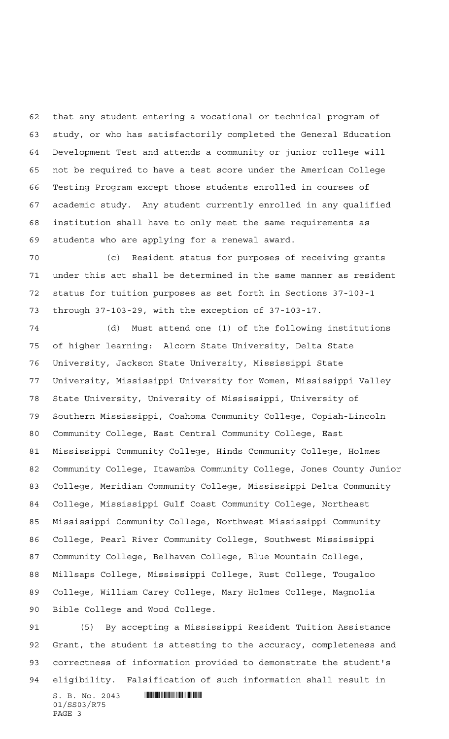that any student entering a vocational or technical program of study, or who has satisfactorily completed the General Education Development Test and attends a community or junior college will not be required to have a test score under the American College Testing Program except those students enrolled in courses of academic study. Any student currently enrolled in any qualified institution shall have to only meet the same requirements as students who are applying for a renewal award.

 (c) Resident status for purposes of receiving grants under this act shall be determined in the same manner as resident status for tuition purposes as set forth in Sections 37-103-1 through 37-103-29, with the exception of 37-103-17.

 (d) Must attend one (1) of the following institutions of higher learning: Alcorn State University, Delta State University, Jackson State University, Mississippi State University, Mississippi University for Women, Mississippi Valley State University, University of Mississippi, University of Southern Mississippi, Coahoma Community College, Copiah-Lincoln Community College, East Central Community College, East Mississippi Community College, Hinds Community College, Holmes Community College, Itawamba Community College, Jones County Junior College, Meridian Community College, Mississippi Delta Community College, Mississippi Gulf Coast Community College, Northeast Mississippi Community College, Northwest Mississippi Community College, Pearl River Community College, Southwest Mississippi Community College, Belhaven College, Blue Mountain College, Millsaps College, Mississippi College, Rust College, Tougaloo College, William Carey College, Mary Holmes College, Magnolia Bible College and Wood College.

 $S. B. No. 2043$  . The set of  $\sim$  set of  $\sim$  set of  $\sim$  set of  $\sim$  set of  $\sim$  set of  $\sim$  set of  $\sim$  set of  $\sim$  set of  $\sim$  set of  $\sim$  set of  $\sim$  set of  $\sim$  set of  $\sim$  set of  $\sim$  set of  $\sim$  set of  $\sim$  set of  $\$  (5) By accepting a Mississippi Resident Tuition Assistance Grant, the student is attesting to the accuracy, completeness and correctness of information provided to demonstrate the student's eligibility. Falsification of such information shall result in

01/SS03/R75 PAGE 3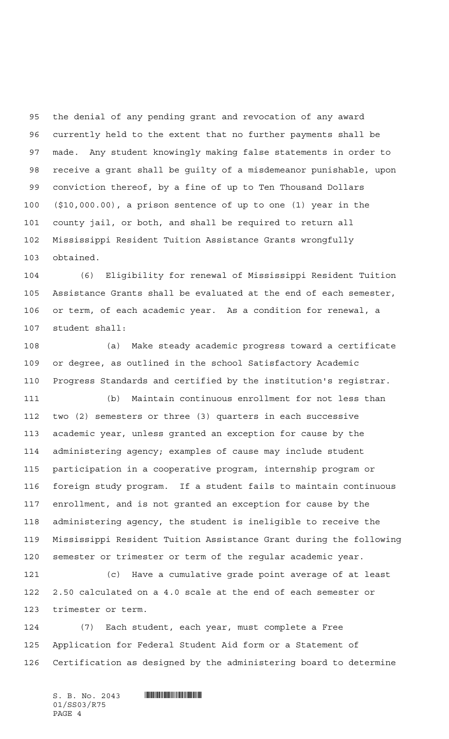the denial of any pending grant and revocation of any award currently held to the extent that no further payments shall be made. Any student knowingly making false statements in order to receive a grant shall be guilty of a misdemeanor punishable, upon conviction thereof, by a fine of up to Ten Thousand Dollars (\$10,000.00), a prison sentence of up to one (1) year in the county jail, or both, and shall be required to return all Mississippi Resident Tuition Assistance Grants wrongfully obtained.

 (6) Eligibility for renewal of Mississippi Resident Tuition Assistance Grants shall be evaluated at the end of each semester, or term, of each academic year. As a condition for renewal, a student shall:

 (a) Make steady academic progress toward a certificate or degree, as outlined in the school Satisfactory Academic Progress Standards and certified by the institution's registrar.

 (b) Maintain continuous enrollment for not less than two (2) semesters or three (3) quarters in each successive academic year, unless granted an exception for cause by the administering agency; examples of cause may include student participation in a cooperative program, internship program or foreign study program. If a student fails to maintain continuous enrollment, and is not granted an exception for cause by the administering agency, the student is ineligible to receive the Mississippi Resident Tuition Assistance Grant during the following semester or trimester or term of the regular academic year.

 (c) Have a cumulative grade point average of at least 2.50 calculated on a 4.0 scale at the end of each semester or trimester or term.

 (7) Each student, each year, must complete a Free Application for Federal Student Aid form or a Statement of Certification as designed by the administering board to determine

 $S. B. No. 2043$  . So  $R^3$ 01/SS03/R75 PAGE 4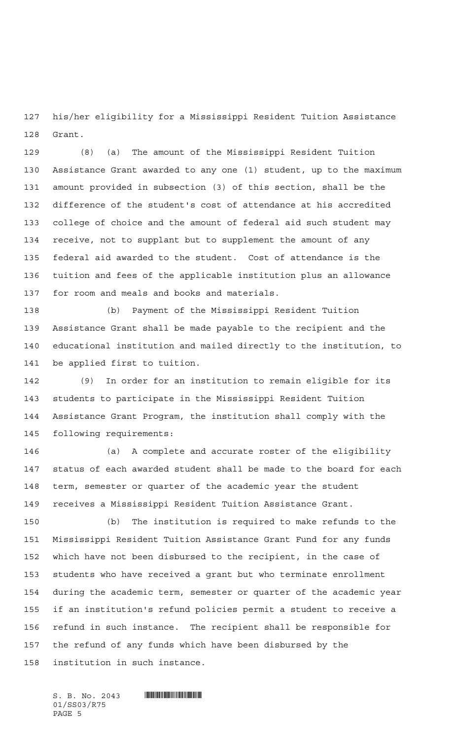his/her eligibility for a Mississippi Resident Tuition Assistance Grant.

 (8) (a) The amount of the Mississippi Resident Tuition Assistance Grant awarded to any one (1) student, up to the maximum amount provided in subsection (3) of this section, shall be the difference of the student's cost of attendance at his accredited college of choice and the amount of federal aid such student may receive, not to supplant but to supplement the amount of any federal aid awarded to the student. Cost of attendance is the tuition and fees of the applicable institution plus an allowance for room and meals and books and materials.

 (b) Payment of the Mississippi Resident Tuition Assistance Grant shall be made payable to the recipient and the educational institution and mailed directly to the institution, to be applied first to tuition.

 (9) In order for an institution to remain eligible for its students to participate in the Mississippi Resident Tuition Assistance Grant Program, the institution shall comply with the following requirements:

 (a) A complete and accurate roster of the eligibility status of each awarded student shall be made to the board for each term, semester or quarter of the academic year the student receives a Mississippi Resident Tuition Assistance Grant.

 (b) The institution is required to make refunds to the Mississippi Resident Tuition Assistance Grant Fund for any funds which have not been disbursed to the recipient, in the case of students who have received a grant but who terminate enrollment during the academic term, semester or quarter of the academic year if an institution's refund policies permit a student to receive a refund in such instance. The recipient shall be responsible for the refund of any funds which have been disbursed by the institution in such instance.

 $S. B. No. 2043$  . So  $R^3$ 01/SS03/R75 PAGE 5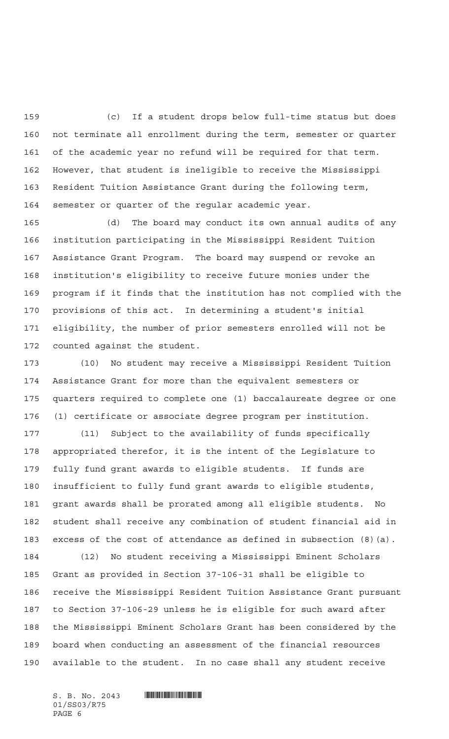(c) If a student drops below full-time status but does not terminate all enrollment during the term, semester or quarter of the academic year no refund will be required for that term. However, that student is ineligible to receive the Mississippi Resident Tuition Assistance Grant during the following term, semester or quarter of the regular academic year.

 (d) The board may conduct its own annual audits of any institution participating in the Mississippi Resident Tuition Assistance Grant Program. The board may suspend or revoke an institution's eligibility to receive future monies under the program if it finds that the institution has not complied with the provisions of this act. In determining a student's initial eligibility, the number of prior semesters enrolled will not be counted against the student.

 (10) No student may receive a Mississippi Resident Tuition Assistance Grant for more than the equivalent semesters or quarters required to complete one (1) baccalaureate degree or one (1) certificate or associate degree program per institution.

 (11) Subject to the availability of funds specifically appropriated therefor, it is the intent of the Legislature to fully fund grant awards to eligible students. If funds are insufficient to fully fund grant awards to eligible students, grant awards shall be prorated among all eligible students. No student shall receive any combination of student financial aid in excess of the cost of attendance as defined in subsection (8)(a).

 (12) No student receiving a Mississippi Eminent Scholars Grant as provided in Section 37-106-31 shall be eligible to receive the Mississippi Resident Tuition Assistance Grant pursuant to Section 37-106-29 unless he is eligible for such award after the Mississippi Eminent Scholars Grant has been considered by the board when conducting an assessment of the financial resources available to the student. In no case shall any student receive

01/SS03/R75 PAGE 6

 $S. B. No. 2043$  . So  $R^3$